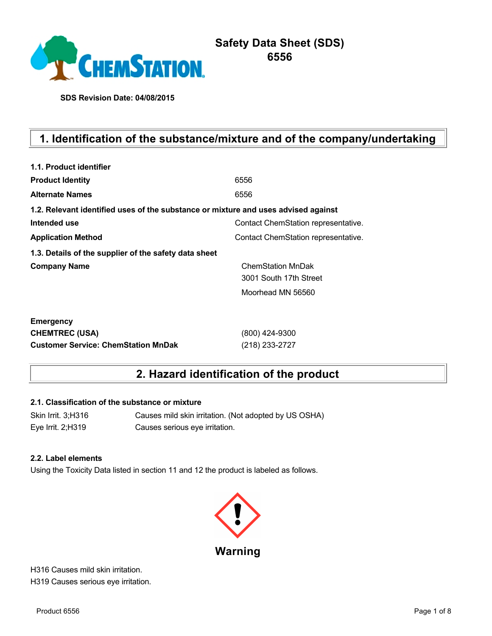

**SDS Revision Date: 04/08/2015**

# **1. Identification of the substance/mixture and of the company/undertaking**

| 1.1. Product identifier                                                            |                                     |  |  |  |
|------------------------------------------------------------------------------------|-------------------------------------|--|--|--|
| <b>Product Identity</b>                                                            | 6556                                |  |  |  |
| <b>Alternate Names</b>                                                             | 6556                                |  |  |  |
| 1.2. Relevant identified uses of the substance or mixture and uses advised against |                                     |  |  |  |
| Intended use                                                                       | Contact ChemStation representative. |  |  |  |
| <b>Application Method</b>                                                          | Contact ChemStation representative. |  |  |  |
| 1.3. Details of the supplier of the safety data sheet                              |                                     |  |  |  |
| <b>Company Name</b>                                                                | <b>ChemStation MnDak</b>            |  |  |  |
|                                                                                    | 3001 South 17th Street              |  |  |  |
|                                                                                    | Moorhead MN 56560                   |  |  |  |
| <b>Emergency</b>                                                                   |                                     |  |  |  |
| <b>CHEMTREC (USA)</b>                                                              | (800) 424-9300                      |  |  |  |
| <b>Customer Service: ChemStation MnDak</b>                                         | (218) 233-2727                      |  |  |  |

## **2. Hazard identification of the product**

#### **2.1. Classification of the substance or mixture**

Skin Irrit. 3;H316 Causes mild skin irritation. (Not adopted by US OSHA) Eye Irrit. 2;H319 Causes serious eye irritation.

#### **2.2. Label elements**

Using the Toxicity Data listed in section 11 and 12 the product is labeled as follows.



H316 Causes mild skin irritation. H319 Causes serious eye irritation.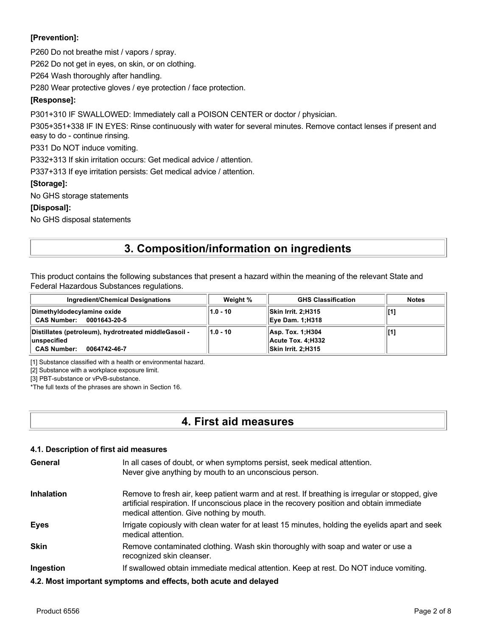## **[Prevention]:**

P260 Do not breathe mist / vapors / spray.

P262 Do not get in eyes, on skin, or on clothing.

P264 Wash thoroughly after handling.

P280 Wear protective gloves / eye protection / face protection.

### **[Response]:**

P301+310 IF SWALLOWED: Immediately call a POISON CENTER or doctor / physician.

P305+351+338 IF IN EYES: Rinse continuously with water for several minutes. Remove contact lenses if present and easy to do - continue rinsing.

P331 Do NOT induce vomiting.

P332+313 If skin irritation occurs: Get medical advice / attention.

P337+313 If eye irritation persists: Get medical advice / attention.

**[Storage]:**

No GHS storage statements

**[Disposal]:**

No GHS disposal statements

## **3. Composition/information on ingredients**

This product contains the following substances that present a hazard within the meaning of the relevant State and Federal Hazardous Substances regulations.

| <b>Ingredient/Chemical Designations</b>                                                                    | Weight %   | <b>GHS Classification</b>                                    | <b>Notes</b> |
|------------------------------------------------------------------------------------------------------------|------------|--------------------------------------------------------------|--------------|
| Dimethyldodecylamine oxide<br><b>CAS Number:</b><br>0001643-20-5                                           | $1.0 - 10$ | <b>Skin Irrit. 2:H315</b><br><b>Eye Dam. 1;H318</b>          |              |
| Distillates (petroleum), hydrotreated middleGasoil -<br>∣unspecified<br><b>CAS Number:</b><br>0064742-46-7 | $1.0 - 10$ | Asp. Tox. 1; H304<br>Acute Tox. 4:H332<br>Skin Irrit. 2:H315 | [[1]         |

[1] Substance classified with a health or environmental hazard.

[2] Substance with a workplace exposure limit.

[3] PBT-substance or vPvB-substance.

\*The full texts of the phrases are shown in Section 16.

## **4. First aid measures**

#### **4.1. Description of first aid measures**

| General | In all cases of doubt, or when symptoms persist, seek medical attention. |
|---------|--------------------------------------------------------------------------|
|         | Never give anything by mouth to an unconscious person.                   |

- **Inhalation** Remove to fresh air, keep patient warm and at rest. If breathing is irregular or stopped, give artificial respiration. If unconscious place in the recovery position and obtain immediate medical attention. Give nothing by mouth.
- **Eyes** Irrigate copiously with clean water for at least 15 minutes, holding the eyelids apart and seek medical attention.
- **Skin** Remove contaminated clothing. Wash skin thoroughly with soap and water or use a recognized skin cleanser.
- **Ingestion** If swallowed obtain immediate medical attention. Keep at rest. Do NOT induce vomiting.
- **4.2. Most important symptoms and effects, both acute and delayed**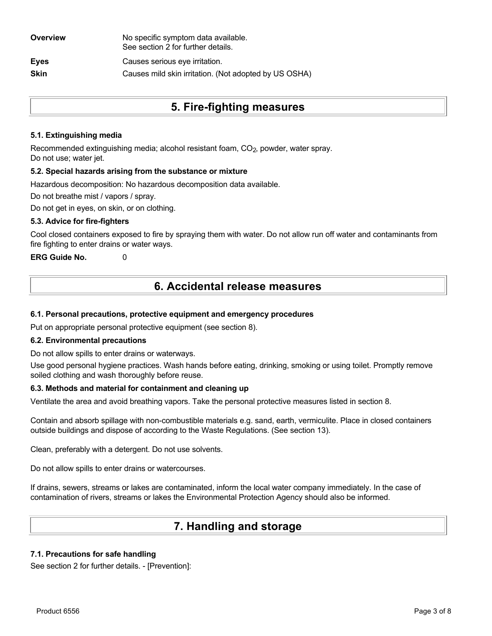| Overview    | No specific symptom data available.<br>See section 2 for further details. |
|-------------|---------------------------------------------------------------------------|
| <b>Eyes</b> | Causes serious eye irritation.                                            |
| <b>Skin</b> | Causes mild skin irritation. (Not adopted by US OSHA)                     |
|             |                                                                           |

## **5. Fire-fighting measures**

## **5.1. Extinguishing media**

Recommended extinguishing media; alcohol resistant foam, CO<sub>2</sub>, powder, water spray. Do not use; water jet.

#### **5.2. Special hazards arising from the substance or mixture**

Hazardous decomposition: No hazardous decomposition data available.

Do not breathe mist / vapors / spray.

Do not get in eyes, on skin, or on clothing.

### **5.3. Advice for fire-fighters**

Cool closed containers exposed to fire by spraying them with water. Do not allow run off water and contaminants from fire fighting to enter drains or water ways.

**ERG Guide No.** 0

## **6. Accidental release measures**

### **6.1. Personal precautions, protective equipment and emergency procedures**

Put on appropriate personal protective equipment (see section 8).

#### **6.2. Environmental precautions**

Do not allow spills to enter drains or waterways.

Use good personal hygiene practices. Wash hands before eating, drinking, smoking or using toilet. Promptly remove soiled clothing and wash thoroughly before reuse.

#### **6.3. Methods and material for containment and cleaning up**

Ventilate the area and avoid breathing vapors. Take the personal protective measures listed in section 8.

Contain and absorb spillage with non-combustible materials e.g. sand, earth, vermiculite. Place in closed containers outside buildings and dispose of according to the Waste Regulations. (See section 13).

Clean, preferably with a detergent. Do not use solvents.

Do not allow spills to enter drains or watercourses.

If drains, sewers, streams or lakes are contaminated, inform the local water company immediately. In the case of contamination of rivers, streams or lakes the Environmental Protection Agency should also be informed.

## **7. Handling and storage**

### **7.1. Precautions for safe handling**

See section 2 for further details. - [Prevention]: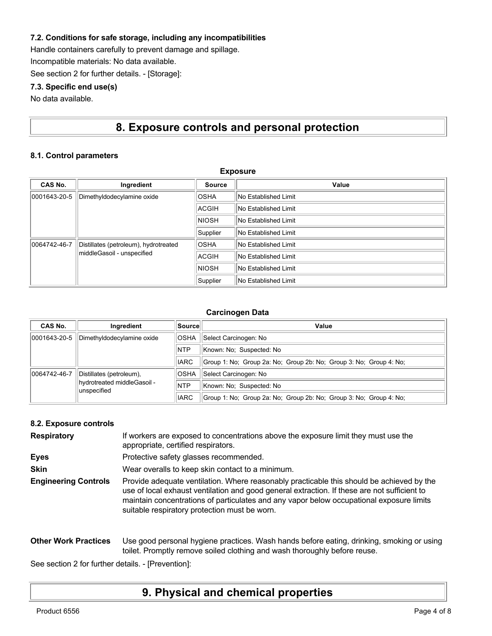### **7.2. Conditions for safe storage, including any incompatibilities**

Handle containers carefully to prevent damage and spillage.

Incompatible materials: No data available.

See section 2 for further details. - [Storage]:

### **7.3. Specific end use(s)**

No data available.

## **8. Exposure controls and personal protection**

**Exposure**

### **8.1. Control parameters**

| Exposure                                                                            |                            |                             |                             |
|-------------------------------------------------------------------------------------|----------------------------|-----------------------------|-----------------------------|
| CAS No.                                                                             | Ingredient                 | <b>Source</b>               | Value                       |
| 0001643-20-5                                                                        | Dimethyldodecylamine oxide | <b>OSHA</b>                 | <b>No Established Limit</b> |
|                                                                                     |                            | ACGIH                       | No Established Limit        |
|                                                                                     | <b>NIOSH</b>               | No Established Limit        |                             |
|                                                                                     | Supplier                   | <b>No Established Limit</b> |                             |
| 0064742-46-7<br>Distillates (petroleum), hydrotreated<br>middleGasoil - unspecified | <b>OSHA</b>                | No Established Limit        |                             |
|                                                                                     | ACGIH                      | No Established Limit        |                             |
|                                                                                     | <b>NIOSH</b>               | No Established Limit        |                             |
|                                                                                     |                            | Supplier                    | No Established Limit        |

#### **Carcinogen Data**

| CAS No.      | Ingredient                                 | ∣Source∣    | Value                                                              |
|--------------|--------------------------------------------|-------------|--------------------------------------------------------------------|
| 0001643-20-5 | Dimethyldodecylamine oxide                 | <b>OSHA</b> | Select Carcinogen: No                                              |
|              |                                            | <b>NTP</b>  | Known: No: Suspected: No                                           |
|              |                                            | <b>IARC</b> | Group 1: No: Group 2a: No: Group 2b: No: Group 3: No: Group 4: No: |
| 0064742-46-7 | Distillates (petroleum),                   | <b>OSHA</b> | Select Carcinogen: No                                              |
|              | hydrotreated middleGasoil -<br>unspecified | <b>NTP</b>  | Known: No: Suspected: No                                           |
|              |                                            | <b>IARC</b> | Group 1: No; Group 2a: No; Group 2b: No; Group 3: No; Group 4: No; |

#### **8.2. Exposure controls**

| <b>Respiratory</b>          | If workers are exposed to concentrations above the exposure limit they must use the<br>appropriate, certified respirators.                                                                                                                                                                                                             |  |  |
|-----------------------------|----------------------------------------------------------------------------------------------------------------------------------------------------------------------------------------------------------------------------------------------------------------------------------------------------------------------------------------|--|--|
| <b>Eyes</b>                 | Protective safety glasses recommended.                                                                                                                                                                                                                                                                                                 |  |  |
| <b>Skin</b>                 | Wear overalls to keep skin contact to a minimum.                                                                                                                                                                                                                                                                                       |  |  |
| <b>Engineering Controls</b> | Provide adequate ventilation. Where reasonably practicable this should be achieved by the<br>use of local exhaust ventilation and good general extraction. If these are not sufficient to<br>maintain concentrations of particulates and any vapor below occupational exposure limits<br>suitable respiratory protection must be worn. |  |  |

#### **Other Work Practices** Use good personal hygiene practices. Wash hands before eating, drinking, smoking or using toilet. Promptly remove soiled clothing and wash thoroughly before reuse.

See section 2 for further details. - [Prevention]:

## **9. Physical and chemical properties**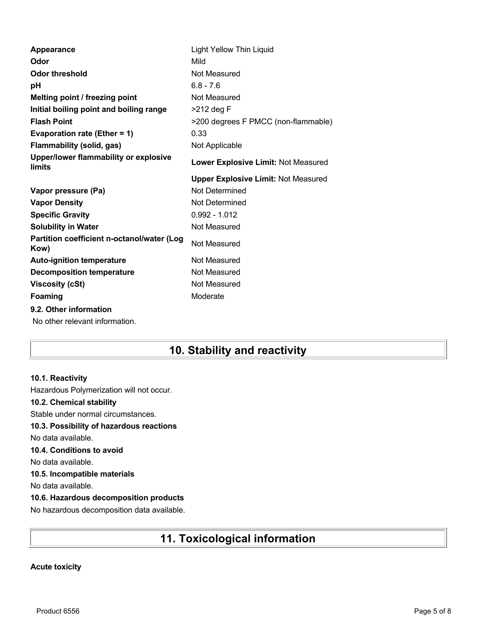| Appearance                                         | <b>Light Yellow Thin Liquid</b>            |
|----------------------------------------------------|--------------------------------------------|
| Odor                                               | Mild                                       |
| Odor threshold                                     | Not Measured                               |
| рH                                                 | $6.8 - 7.6$                                |
| Melting point / freezing point                     | Not Measured                               |
| Initial boiling point and boiling range            | $>212$ deg F                               |
| <b>Flash Point</b>                                 | >200 degrees F PMCC (non-flammable)        |
| Evaporation rate (Ether = 1)                       | 0.33                                       |
| <b>Flammability (solid, gas)</b>                   | Not Applicable                             |
| Upper/lower flammability or explosive<br>limits    | Lower Explosive Limit: Not Measured        |
|                                                    | <b>Upper Explosive Limit: Not Measured</b> |
| Vapor pressure (Pa)                                | Not Determined                             |
| <b>Vapor Density</b>                               | Not Determined                             |
| <b>Specific Gravity</b>                            | $0.992 - 1.012$                            |
| <b>Solubility in Water</b>                         | Not Measured                               |
| Partition coefficient n-octanol/water (Log<br>Kow) | Not Measured                               |
| <b>Auto-ignition temperature</b>                   | Not Measured                               |
| <b>Decomposition temperature</b>                   | Not Measured                               |
| <b>Viscosity (cSt)</b>                             | Not Measured                               |
| Foaming                                            | Moderate                                   |
| 9.2. Other information                             |                                            |
| No other relevant information.                     |                                            |

## **10. Stability and reactivity**

### **10.1. Reactivity**

Hazardous Polymerization will not occur.

### **10.2. Chemical stability**

Stable under normal circumstances.

## **10.3. Possibility of hazardous reactions**

No data available.

## **10.4. Conditions to avoid**

No data available.

### **10.5. Incompatible materials**

No data available.

## **10.6. Hazardous decomposition products**

No hazardous decomposition data available.

# **11. Toxicological information**

## **Acute toxicity**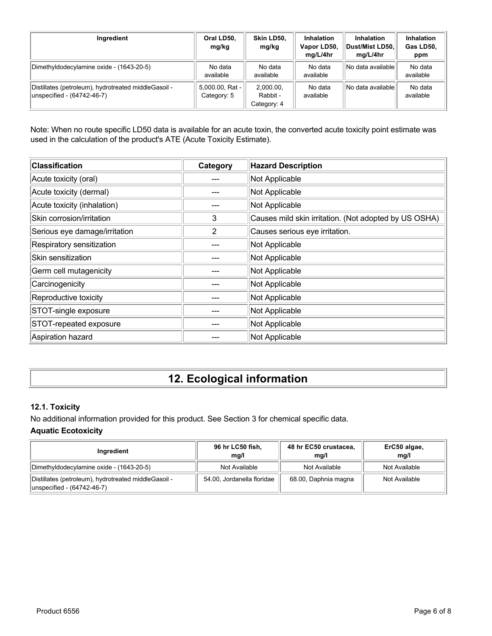| Ingredient                                                                         | Oral LD50.<br>mg/kg            | Skin LD50.<br>mg/kg                  | <b>Inhalation</b><br>Vapor LD50,<br>mg/L/4hr | <b>Inhalation</b><br>Dust/Mist LD50.<br>mg/L/4hr | Inhalation<br>Gas LD50,<br>ppm |
|------------------------------------------------------------------------------------|--------------------------------|--------------------------------------|----------------------------------------------|--------------------------------------------------|--------------------------------|
| Dimethyldodecylamine oxide - (1643-20-5)                                           | No data<br>available           | No data<br>available                 | No data<br>available                         | No data available                                | No data<br>available           |
| Distillates (petroleum), hydrotreated middleGasoil -<br>unspecified - (64742-46-7) | 5,000.00, Rat -<br>Category: 5 | 2.000.00.<br>Rabbit -<br>Category: 4 | No data<br>available                         | No data availablel                               | No data<br>available           |

Note: When no route specific LD50 data is available for an acute toxin, the converted acute toxicity point estimate was used in the calculation of the product's ATE (Acute Toxicity Estimate).

| <b>Classification</b>         | Category | <b>Hazard Description</b>                             |
|-------------------------------|----------|-------------------------------------------------------|
| Acute toxicity (oral)         |          | Not Applicable                                        |
| Acute toxicity (dermal)       |          | Not Applicable                                        |
| Acute toxicity (inhalation)   |          | Not Applicable                                        |
| Skin corrosion/irritation     | 3        | Causes mild skin irritation. (Not adopted by US OSHA) |
| Serious eye damage/irritation | 2        | Causes serious eye irritation.                        |
| Respiratory sensitization     |          | Not Applicable                                        |
| Skin sensitization            |          | Not Applicable                                        |
| Germ cell mutagenicity        |          | Not Applicable                                        |
| Carcinogenicity               |          | Not Applicable                                        |
| Reproductive toxicity         |          | Not Applicable                                        |
| STOT-single exposure          |          | Not Applicable                                        |
| STOT-repeated exposure        |          | Not Applicable                                        |
| Aspiration hazard             |          | Not Applicable                                        |

# **12. Ecological information**

## **12.1. Toxicity**

No additional information provided for this product. See Section 3 for chemical specific data.

## **Aquatic Ecotoxicity**

| Ingredient                                                                          | 96 hr LC50 fish,<br>mq/l   | 48 hr EC50 crustacea,<br>mg/l | ErC50 algae,<br>mg/l |
|-------------------------------------------------------------------------------------|----------------------------|-------------------------------|----------------------|
| Dimethyldodecylamine oxide - (1643-20-5)                                            | Not Available              | Not Available                 | Not Available        |
| Distillates (petroleum), hydrotreated middle Gasoil -<br>unspecified - (64742-46-7) | 54.00, Jordanella floridae | 68.00, Daphnia magna          | Not Available        |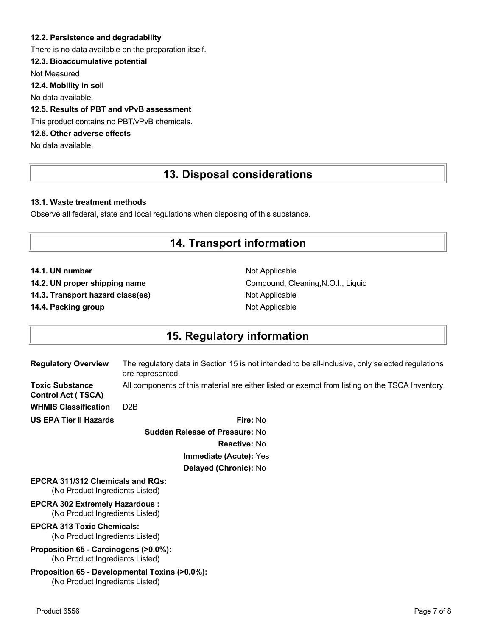### **12.2. Persistence and degradability**

There is no data available on the preparation itself.

## **12.3. Bioaccumulative potential**

Not Measured

**12.4. Mobility in soil**

No data available.

## **12.5. Results of PBT and vPvB assessment**

This product contains no PBT/vPvB chemicals.

## **12.6. Other adverse effects**

No data available.

## **13. Disposal considerations**

#### **13.1. Waste treatment methods**

Observe all federal, state and local regulations when disposing of this substance.

## **14. Transport information**

**14.1. UN number** Not Applicable

**14.3. Transport hazard class(es)** Not Applicable

**14.4. Packing group Not Applicable Not Applicable** 

14.2. UN proper shipping name **Compound, Cleaning, N.O.I., Liquid** Compound, Cleaning, N.O.I., Liquid

## **15. Regulatory information**

| <b>Regulatory Overview</b>                                                 | The regulatory data in Section 15 is not intended to be all-inclusive, only selected regulations<br>are represented. |
|----------------------------------------------------------------------------|----------------------------------------------------------------------------------------------------------------------|
| <b>Toxic Substance</b><br><b>Control Act (TSCA)</b>                        | All components of this material are either listed or exempt from listing on the TSCA Inventory.                      |
| <b>WHMIS Classification</b>                                                | D <sub>2</sub> B                                                                                                     |
| <b>US EPA Tier II Hazards</b>                                              | Fire: No                                                                                                             |
|                                                                            | <b>Sudden Release of Pressure: No</b>                                                                                |
|                                                                            | <b>Reactive: No</b>                                                                                                  |
|                                                                            | Immediate (Acute): Yes                                                                                               |
|                                                                            | Delayed (Chronic): No                                                                                                |
| <b>EPCRA 311/312 Chemicals and ROs:</b><br>(No Product Ingredients Listed) |                                                                                                                      |
| <b>EPCRA 302 Extremely Hazardous:</b><br>(No Product Ingredients Listed)   |                                                                                                                      |
| <b>EPCRA 313 Toxic Chemicals:</b><br>(No Product Ingredients Listed)       |                                                                                                                      |
| Proposition 65 - Carcinogens (>0.0%):<br>(No Product Ingredients Listed)   |                                                                                                                      |
| (No Product Ingredients Listed)                                            | Proposition 65 - Developmental Toxins (>0.0%):                                                                       |
|                                                                            |                                                                                                                      |